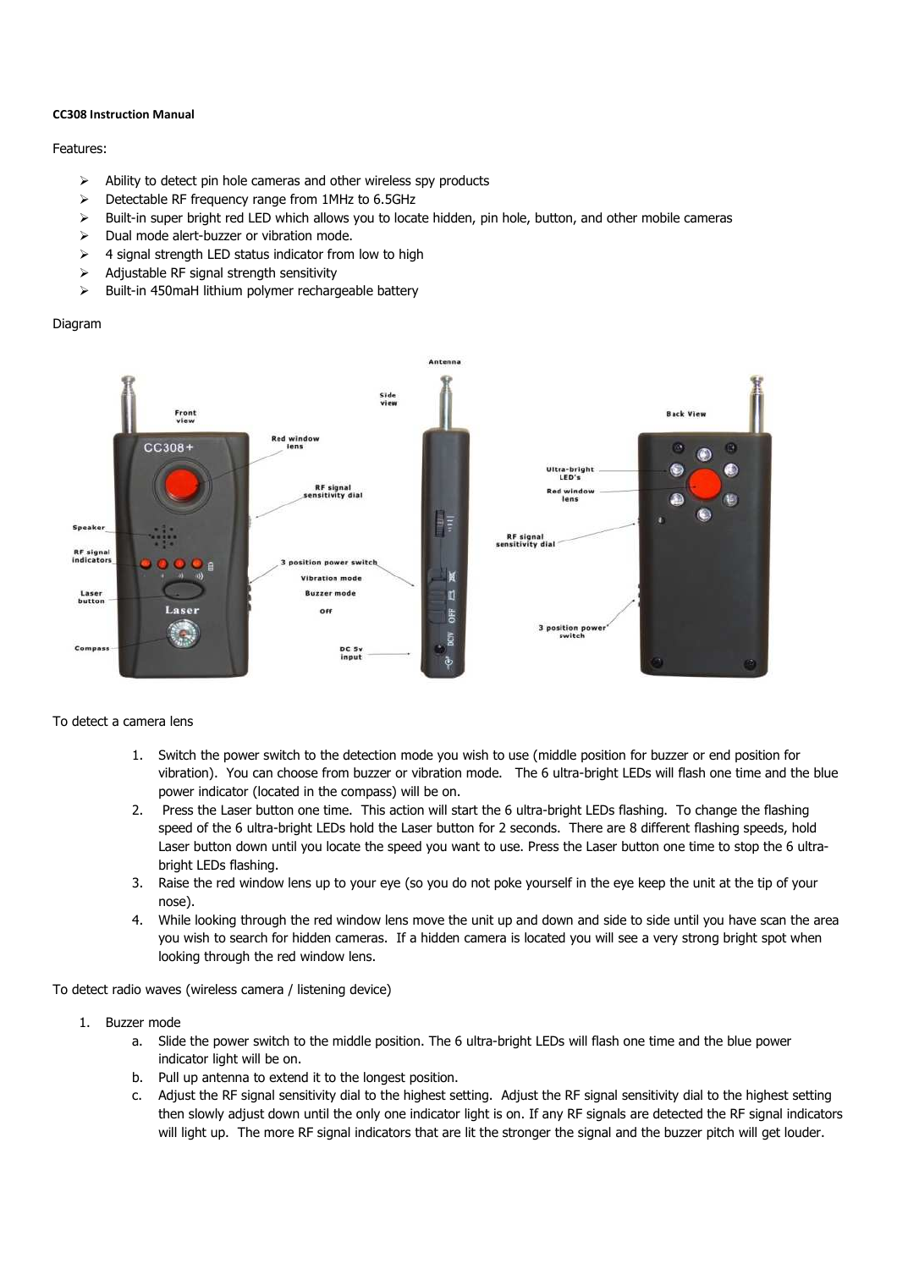#### **CC308 Instruction Manual**

#### Features:

- $\triangleright$  Ability to detect pin hole cameras and other wireless spy products
- $\triangleright$  Detectable RF frequency range from 1MHz to 6.5GHz
- $\triangleright$  Built-in super bright red LED which allows you to locate hidden, pin hole, button, and other mobile cameras
- $\triangleright$  Dual mode alert-buzzer or vibration mode.
- $\geq$  4 signal strength LED status indicator from low to high
- $\triangleright$  Adjustable RF signal strength sensitivity
- $\triangleright$  Built-in 450 maH lithium polymer rechargeable battery

## Diagram



## To detect a camera lens

- 1. Switch the power switch to the detection mode you wish to use (middle position for buzzer or end position for vibration). You can choose from buzzer or vibration mode. The 6 ultra-bright LEDs will flash one time and the blue power indicator (located in the compass) will be on.
- 2. Press the Laser button one time. This action will start the 6 ultra-bright LEDs flashing. To change the flashing speed of the 6 ultra-bright LEDs hold the Laser button for 2 seconds. There are 8 different flashing speeds, hold Laser button down until you locate the speed you want to use. Press the Laser button one time to stop the 6 ultrabright LEDs flashing.
- 3. Raise the red window lens up to your eye (so you do not poke yourself in the eye keep the unit at the tip of your nose).
- 4. While looking through the red window lens move the unit up and down and side to side until you have scan the area you wish to search for hidden cameras. If a hidden camera is located you will see a very strong bright spot when looking through the red window lens.

To detect radio waves (wireless camera / listening device)

- 1. Buzzer mode
	- a. Slide the power switch to the middle position. The 6 ultra-bright LEDs will flash one time and the blue power indicator light will be on.
	- b. Pull up antenna to extend it to the longest position.
	- c. Adjust the RF signal sensitivity dial to the highest setting. Adjust the RF signal sensitivity dial to the highest setting then slowly adjust down until the only one indicator light is on. If any RF signals are detected the RF signal indicators will light up. The more RF signal indicators that are lit the stronger the signal and the buzzer pitch will get louder.